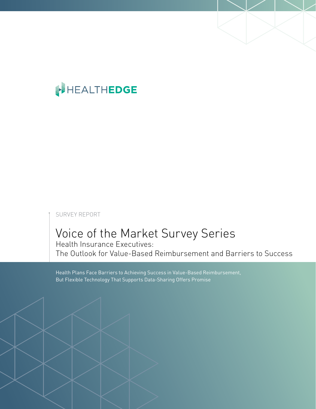# HEALTHEDGE

## SURVEY REPORT

# Voice of the Market Survey Series

Health Insurance Executives: The Outlook for Value-Based Reimbursement and Barriers to Success

Health Plans Face Barriers to Achieving Success in Value-Based Reimbursement, But Flexible Technology That Supports Data-Sharing Offers Promise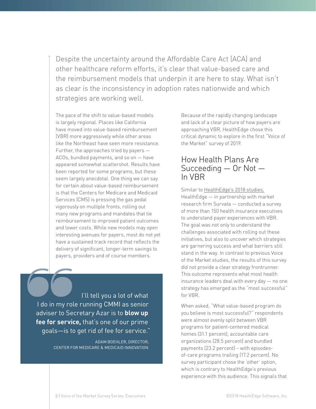Despite the uncertainty around the Affordable Care Act (ACA) and other healthcare reform efforts, it's clear that value-based care and the reimbursement models that underpin it are here to stay. What isn't as clear is the inconsistency in adoption rates nationwide and which strategies are working well.

The pace of the shift to value-based models is largely regional. Places like California have moved into value-based reimbursement (VBR) more aggressively while other areas like the Northeast have seen more resistance. Further, the approaches tried by payers — ACOs, bundled payments, and so on — have appeared somewhat scattershot. Results have been reported for some programs, but these seem largely anecdotal. One thing we can say for certain about value-based reimbursement is that the Centers for Medicare and Medicaid Services (CMS) is pressing the gas pedal vigorously on multiple fronts, rolling out many new programs and mandates that tie reimbursement to improved patient outcomes and lower costs. While new models may open interesting avenues for payers, most do not yet have a sustained track record that reflects the delivery of significant, longer-term savings to payers, providers and of course members.

 I'll tell you a lot of what I do in my role running CMMI as senior adviser to Secretary Azar is to **blow up fee for service,** that's one of our prime goals—is to get rid of fee for service."

> ADAM BOEHLER, DIRECTOR, CENTER FOR MEDICARE & MEDICAID INNOVATION

Because of the rapidly changing landscape and lack of a clear picture of how payers are approaching VBR, HealthEdge chose this critical dynamic to explore in the first "Voice of the Market" survey of 2019.

## How Health Plans Are Succeeding — Or Not — In VBR

Similar to [HealthEdge's 2018 studies,](https://www.healthedge.com/insights) HealthEdge — in partnership with market research firm Survata — conducted a survey of more than 150 health insurance executives to understand payer experiences with VBR. The goal was not only to understand the challenges associated with rolling out these initiatives, but also to uncover which strategies are garnering success and what barriers still stand in the way. In contrast to previous Voice of the Market studies, the results of this survey did not provide a clear strategy frontrunner. This outcome represents what most health insurance leaders deal with every day — no one strategy has emerged as the "most successful" for VBR.

When asked, "What value-based program do you believe is most successful?" respondents were almost evenly split between VBR programs for patient-centered medical homes (31.1 percent), accountable care organizations (28.5 percent) and bundled payments (23.2 percent) – with episodesof-care programs trailing (17.2 percent). No survey participant chose the 'other' option, which is contrary to HealthEdge's previous experience with this audience. This signals that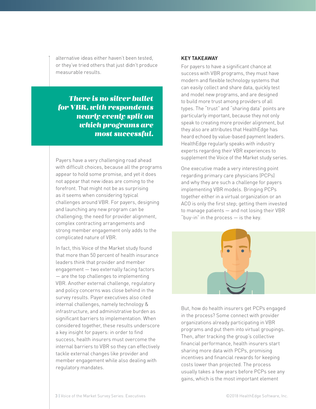alternative ideas either haven't been tested, or they've tried others that just didn't produce measurable results.

## *There is no silver bullet for VBR, with respondents nearly evenly split on which programs are most successful.*

Payers have a very challenging road ahead with difficult choices, because all the programs appear to hold some promise, and yet it does not appear that new ideas are coming to the forefront. That might not be as surprising as it seems when considering typical challenges around VBR. For payers, designing and launching any new program can be challenging; the need for provider alignment, complex contracting arrangements and strong member engagement only adds to the complicated nature of VBR.

In fact, this Voice of the Market study found that more than 50 percent of health insurance leaders think that provider and member engagement — two externally facing factors — are the top challenges to implementing VBR. Another external challenge, regulatory and policy concerns was close behind in the survey results. Payer executives also cited internal challenges, namely technology & infrastructure, and administrative burden as significant barriers to implementation. When considered together, these results underscore a key insight for payers: in order to find success, health insurers must overcome the internal barriers to VBR so they can effectively tackle external changes like provider and member engagement while also dealing with regulatory mandates.

### KEY TAKEAWAY

For payers to have a significant chance at success with VBR programs, they must have modern and flexible technology systems that can easily collect and share data, quickly test and model new programs, and are designed to build more trust among providers of all types. The "trust" and "sharing data" points are particularly important, because they not only speak to creating more provider alignment, but they also are attributes that HealthEdge has heard echoed by value-based payment leaders. HealthEdge regularly speaks with industry experts regarding their VBR experiences to supplement the Voice of the Market study series.

One executive made a very interesting point regarding primary care physicians (PCPs) and why they are such a challenge for payers implementing VBR models. Bringing PCPs together either in a virtual organization or an ACO is only the first step; getting them invested to manage patients — and not losing their VBR "buy-in" in the process — is the key.



But, how do health insurers get PCPs engaged in the process? Some connect with provider organizations already participating in VBR programs and put them into virtual groupings. Then, after tracking the group's collective financial performance, health insurers start sharing more data with PCPs, promising incentives and financial rewards for keeping costs lower than projected. The process usually takes a few years before PCPs see any gains, which is the most important element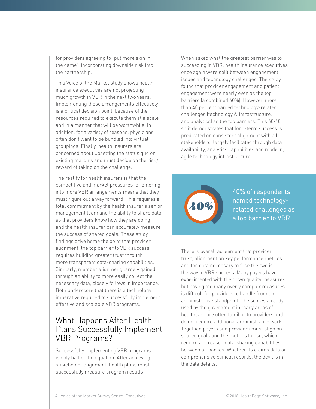for providers agreeing to "put more skin in the game", incorporating downside risk into the partnership.

This Voice of the Market study shows health insurance executives are not projecting much growth in VBR in the next two years. Implementing these arrangements effectively is a critical decision point, because of the resources required to execute them at a scale and in a manner that will be worthwhile. In addition, for a variety of reasons, physicians often don't want to be bundled into virtual groupings. Finally, health insurers are concerned about upsetting the status quo on existing margins and must decide on the risk/ reward of taking on the challenge.

The reality for health insurers is that the competitive and market pressures for entering into more VBR arrangements means that they must figure out a way forward. This requires a total commitment by the health insurer's senior management team and the ability to share data so that providers know how they are doing, and the health insurer can accurately measure the success of shared goals. These study findings drive home the point that provider alignment (the top barrier to VBR success) requires building greater trust through more transparent data-sharing capabilities. Similarly, member alignment, largely gained through an ability to more easily collect the necessary data, closely follows in importance. Both underscore that there is a technology imperative required to successfully implement effective and scalable VBR programs.

## What Happens After Health Plans Successfully Implement VBR Programs?

Successfully implementing VBR programs is only half of the equation. After achieving stakeholder alignment, health plans must successfully measure program results.

When asked what the greatest barrier was to succeeding in VBR, health insurance executives once again were split between engagement issues and technology challenges. The study found that provider engagement and patient engagement were nearly even as the top barriers (a combined 60%). However, more than 40 percent named technology-related challenges (technology & infrastructure, and analytics) as the top barriers. This 60/40 split demonstrates that long-term success is predicated on consistent alignment with all stakeholders, largely facilitated through data availability, analytics capabilities and modern, agile technology infrastructure.



40% of respondents named technologyrelated challenges as a top barrier to VBR

There is overall agreement that provider trust, alignment on key performance metrics and the data necessary to fuse the two is the way to VBR success. Many payers have experimented with their own quality measures but having too many overly complex measures is difficult for providers to handle from an administrative standpoint. The scores already used by the government in many areas of healthcare are often familiar to providers and do not require additional administrative work. Together, payers and providers must align on shared goals and the metrics to use, which requires increased data-sharing capabilities between all parties. Whether its claims data or comprehensive clinical records, the devil is in the data details.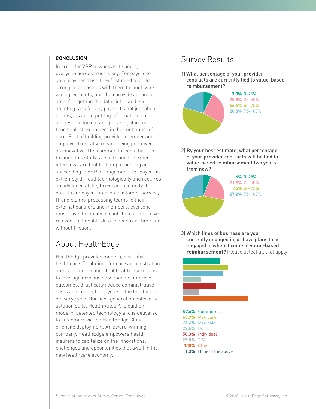## **CONCLUSION**

In order for VBR to work as it should, everyone agrees trust is key. For payers to gain provider trust, they first need to build strong relationships with them through win/ win agreements, and then provide actionable data. But getting the data right can be a daunting task for any payer. It's not just about claims, it's about putting information into a digestible format and providing it in realtime to all stakeholders in the continuum of care. Part of building provider, member and employer trust also means being perceived as innovative. The common threads that run through this study's results and the expert interviews are that both implementing and succeeding in VBR arrangements for payers is extremely difficult technologically and requires an advanced ability to extract and unify the data. From payers' internal customer-service, IT and claims-processing teams to their external partners and members, everyone must have the ability to contribute and receive relevant, actionable data in near-real-time and without friction

# About HealthEdge

HealthEdge provides modern, disruptive healthcare IT solutions for core administration and care coordination that health insurers use to leverage new business models, improve outcomes, drastically reduce administrative costs and connect everyone in the healthcare delivery cycle. Our next-generation enterprise solution suite, HealthRules™, is built on modern, patented technology and is delivered to customers via the HealthEdge Cloud or onsite deployment. An award-winning company, HealthEdge empowers health insurers to capitalize on the innovations, challenges and opportunities that await in the new healthcare economy.

# Survey Results

1) What percentage of your provider contracts are currently tied to value-based reimbursement?



2) By your best estimate, what percentage of your provider contracts will be tied to value-based reimbursement two years from now?



3) Which lines of business are you currently engaged in, or have plans to be engaged in when it come to **value-based reimbursement?** Please select all that apply